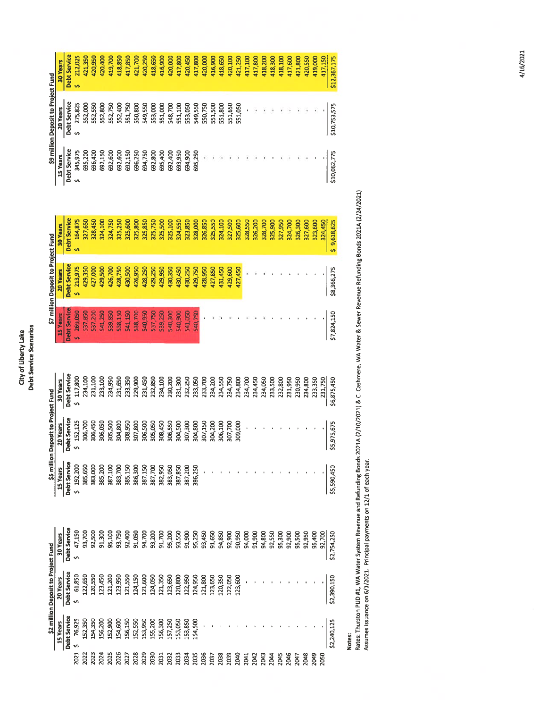# City of Liberty Lake<br>Debt Service Scenarios Debt Service Scenarios City of Liberty Lake

|                                     | 30 Years | <b>Debt Service</b> | 212,025<br>š                  | 421,350          | 420,950 | 420,400 | 419,700 | 418,850            | 417,850 | 421,700 | 420,250 | 418,650 | 416,900 | 420,000 | 417,800 | 420,450 | 417,800 | 420,000 | 416,900      | 418,650 | 420,100 | 421,250 | 417,100 | 417,800 | 418,200 | 418,300 | 418,100 | 417,600 | 421,800 | 420,550 | 419,000     | 417,150 | \$12,367,175 |
|-------------------------------------|----------|---------------------|-------------------------------|------------------|---------|---------|---------|--------------------|---------|---------|---------|---------|---------|---------|---------|---------|---------|---------|--------------|---------|---------|---------|---------|---------|---------|---------|---------|---------|---------|---------|-------------|---------|--------------|
| \$9 million Deposit to Project Fund | 20 Years | Debt Service        | 275,825<br>S                  | 552,000          | 552,550 | 552,800 | 552,750 | 552,400            | 551,750 | 550,800 | 549,550 | 553,000 | 551,000 | 548,700 | 551,100 | 553,050 | 549,550 | 550,750 | 551,500      | 551,800 | 551,650 | 551,050 |         |         |         |         |         |         |         |         |             |         | \$10,753,575 |
|                                     | 15 Years | Debt Service        | 345,975<br>s                  | 695,200          | 696,400 | 692,150 | 692,600 | 692,600            | 692,150 | 696,250 | 694,750 | 692,800 | 695,400 | 692,400 | 693,950 | 694,900 | 695,250 |         |              |         |         |         |         |         |         |         |         |         |         |         |             |         | \$10,062,775 |
|                                     | 30 Years | <b>Debt Service</b> | 164,875<br>ś                  | 327,650          | 328,450 | 324,100 | 324,750 | 325,250            | 325,600 | 325,800 | 325,85C | 325,750 | 325,500 | 325,100 | 324,550 | 323,850 | 328,000 | 326,850 | 325,550      | 324,100 | 327,500 | 325,600 | 328,55C | 326,200 | 328,700 | 325,900 | 327,950 | 324,700 | 326,300 | 327,600 | 323,600     | 324,450 | \$9,618,625  |
| \$7 million Deposit to Project Fund | 20 Years | <b>Debt Service</b> | \$213,975                     | 429,350          | 427,000 | 429,500 | 426,700 | 428,750            | 430,500 | 426,950 | 428,250 | 429,250 | 429,950 | 430,350 | 430,450 | 430,250 | 429,750 | 428,950 | 427,850      | 431,450 | 429,600 | 427,450 |         |         |         |         |         |         |         |         |             |         | \$8,366,275  |
|                                     | 15 Years | Debt Service        | \$ 269,050                    | 537,850          | 537,2DC | 541,250 | 539,850 | 538,1 <sup>-</sup> | 541,150 | 538,700 | 540,950 | 537,750 | 539,250 | 540,300 | 540,900 | 541,050 | 540,750 |         |              |         |         |         |         |         |         |         |         |         |         |         |             |         | \$7,824,150  |
|                                     | 30 Years | Debt Service        | \$117,800                     | 234,100          | 231,100 | 233,100 | 234,950 | 231,650            | 233,350 | 229,900 | 231,450 | 232,850 | 234,100 | 230,200 | 231,300 | 232,250 | 233,050 | 233,700 | 234,200      | 234,550 | 234,750 | 234,800 | 234,700 | 234,450 | 234,050 | 233,500 | 232,800 | 231,950 | 230,950 | 234,800 | 233,350     | 231,750 | \$6,875,450  |
| Deposit to Project Fund             | 20 Years | Debt Service        | \$ 152,125                    | 306,700          | 306,450 | 306,050 | 305,500 | 304,800            | 308,950 | 307,800 | 306,500 | 305,050 | 308,450 | 306,550 | 304,500 | 307,300 | 304,800 | 307,150 | 304,200      | 306,100 | 307,700 | 309,000 |         |         |         |         |         |         |         |         |             |         | \$5,975,675  |
| \$5 million                         | 15 Years | Debt Service        | \$192,200                     |                  |         |         |         |                    |         |         |         |         |         |         |         |         |         |         |              |         |         |         |         |         |         |         |         |         |         |         |             |         | \$5,590,450  |
|                                     | 30 Years | <b>Debt Service</b> | \$ 47,150                     | 93,700<br>92,500 |         |         |         |                    |         |         |         |         |         |         |         |         |         |         |              |         |         |         |         |         |         |         |         |         |         |         | 95,400      | 92,700  | \$2,754,250  |
| \$2 million Deposit to Project Fund | 20 Years | <b>Debt Service</b> |                               |                  |         |         |         |                    |         |         |         |         |         |         |         |         |         |         |              |         |         |         |         |         |         |         |         |         |         |         |             |         | \$2,390,150  |
|                                     | 15 Years | <b>Debt Service</b> | 2021 \$76,925<br>2022 152,350 |                  | 154,350 | 156,200 | 152,900 |                    |         |         |         |         |         |         |         |         |         |         |              |         |         |         |         |         |         |         |         |         |         |         |             |         | 52,240,125   |
|                                     |          |                     |                               |                  | 2023    | 2024    | 2025    | 2026               | 2027    | 2028    | 2029    | 2030    | 2031    | 2032    | 2033    | 2034    | 2035    | 2036    | 2037<br>2038 |         | 2039    | 2040    | 2041    | 2042    | 2043    | 2044    | 2045    | 2046    | 2047    | 2048    | <b>StOZ</b> | 2050    |              |

Notes:<br>Rates: Thurston PUD #1, WA Water System Revenue and Refunding Bonds 2021A (2/10/2021) & C. Cashmere, WA Water & Sewer Revenue Refunding Bonds 2021A (2/24/2021)<br>Assumes issuance on 6/1/2021. Principal payments on 12/ Rates: Thurston PUD #1, WA Water System Revenue and Refunding Bonds 2021A (2/10/2021) & C. Cashmere, WA Water & Sewer Revenue Refunding Bonds 2021A (2/24/2021) Assumes issuance on 6/1/2021. Principal payments on 12/1 of each year.

4/16/2021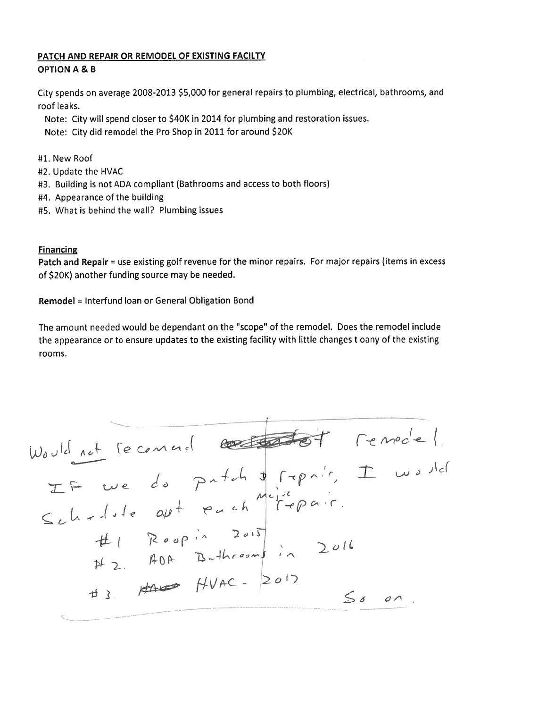#### PATCH AND REPAIR OR REMODEL OF EXISTING FACILTY OPTION A & B

City spends on average 2008-2013 \$5,000 for genera<sup>l</sup> repairs to <sup>p</sup>lumbing, electrical, bathrooms, and roof leaks.

Note: City will spen<sup>d</sup> closer to \$40K in <sup>2014</sup> for <sup>p</sup>lumbing and restoration issues.

Note: City did remodel the Pro Shop in <sup>2011</sup> for around \$20K

- #1. New Roof
- #2. Update the HVAC
- #3. Building is not ADA compliant (Bathrooms and access to both floors)
- #4. Appearance of the building
- #5. What is behind the wall? Plumbing issues

#### **Financing**

Patch and Repair = use existing golf revenue for the minor repairs. For major repairs (items in excess of \$20K) another funding source may be needed.

Remodel <sup>=</sup> Interfund loan or General Obligation Bond

The amount needed would be dependant on the "scope" of the remodel. Does the remodel include the appearance or to ensure updates to the existing facility with little changes <sup>t</sup> oany of the existing rooms.

Wa , ocf / ']z'— <sup>r</sup> ,1,1 aLl I f-JJ7-c-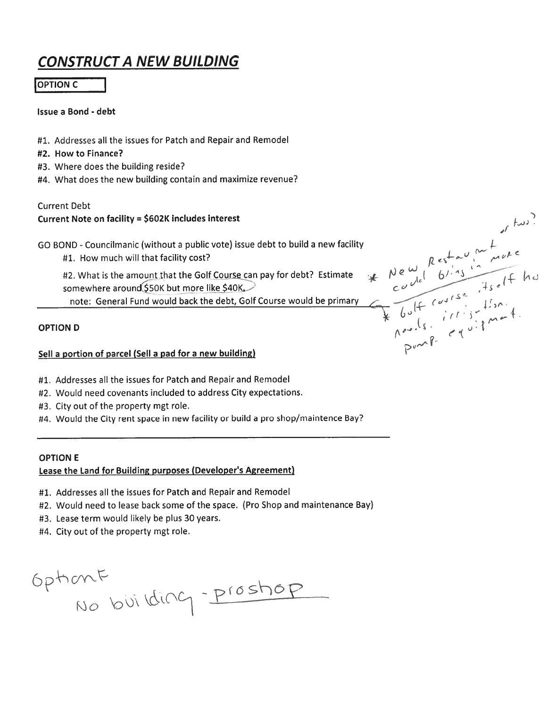## CONSTRUCTA NEW BUILDING

#### **OPTION C**

#### Issue <sup>a</sup> Bond - debt

- #1. Addresses all the issues for Patch and Repair and Remodel
- #2. How to Finance?
- #3. Where does the building reside?
- #4. What does the new building contain and maximize revenue?

#### Current Debt

#### Current Note on facility <sup>=</sup> \$602K includes interest

GO BOND -Councilmanic (without <sup>a</sup> public vote) issue debt to build <sup>a</sup> new facility

#1. How much will that facility cost? , when the complete state  $\rho$  estemation of the contract of the contract of the contract of the contract of the contract of the contract of the contract of the contract of the contra

#2. What is the amount that the Golf Course can pay for debt? Estimate somewhere around \$50K but more like \$40K.

note: General Fund would back the debt, Golf Course would be primary

#### OPTION D

#### Sell <sup>a</sup> portion of parcel (Sell <sup>a</sup> pad for <sup>a</sup> new building)

- #1. Addresses all the issues for Patch and Repair and Remodel
- #2. Would need covenants included to address City expectations.
- #3. City out of the property mg<sup>t</sup> role.
- #4. Would the City rent space in new facility or build <sup>a</sup> pro shop/maintence Bay?

#### OPTION E

#### Lease the Land for Building purposes (Developer's Agreement)

- #1. Addresses all the issues for Patch and Repair and Remodel
- #2. Would need to lease back some of the space. (Pro Shop and maintenance Bay)
- #3. Lease term would likely be plus 30 years.
- #4. City out of the property mg<sup>t</sup> role.

Optiont<br>No building - Prostiop

 $\frac{1}{2}$  and  $\frac{1}{2}$  $*$  New  $e^{16}$  6'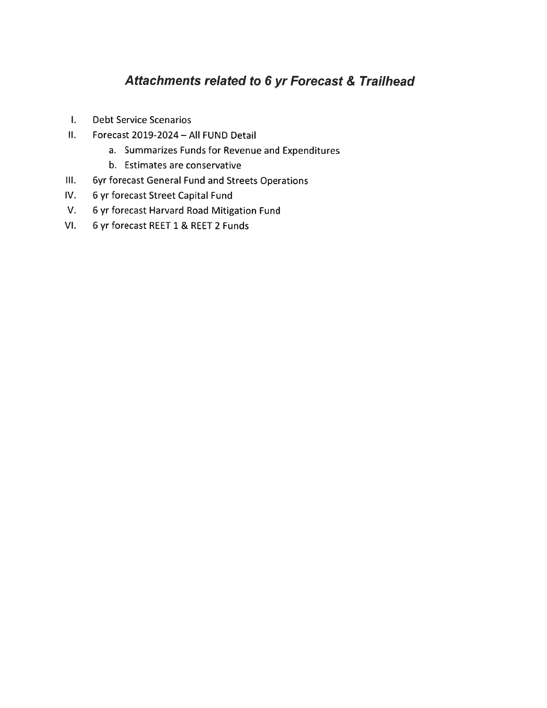### Attachments related to 6 yr Forecast & Tralihead

- I. Debt Service Scenarios
- II. Forecast 2019-2024 All FUND Detail
	- a. Summarizes Funds for Revenue and Expenditures
	- b. Estimates are conservative
- Ill. 6yr forecast General Fund and Streets Operations
- IV. 6 yr forecast Street Capital Fund
- V. 6 yr forecast Harvard Road Mitigation Fund
- VI. 6 yr forecast REET 1 & REET 2 Funds